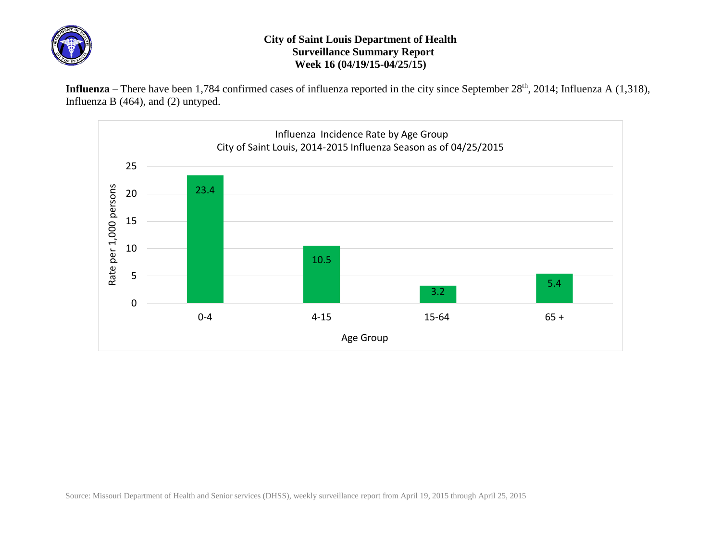

## **City of Saint Louis Department of Health Surveillance Summary Report Week 16 (04/19/15-04/25/15)**

Influenza – There have been 1,784 confirmed cases of influenza reported in the city since September 28<sup>th</sup>, 2014; Influenza A (1,318), Influenza B (464), and (2) untyped.